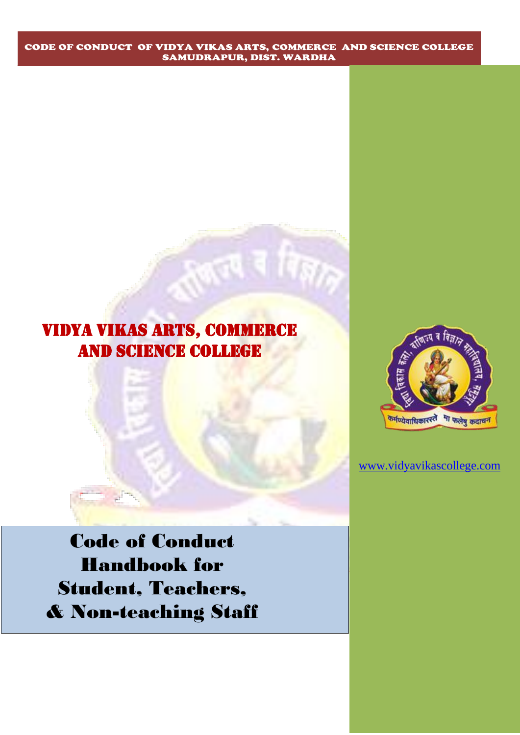# VIDYA VIKAS ARTS, COMMERCE AND SCIENCE COLLEGE



[www.vidyavikascollege.com](http://www.vidyavikascollege.com/)

Code of Conduct Handbook for Student, Teachers, & Non-teaching Staff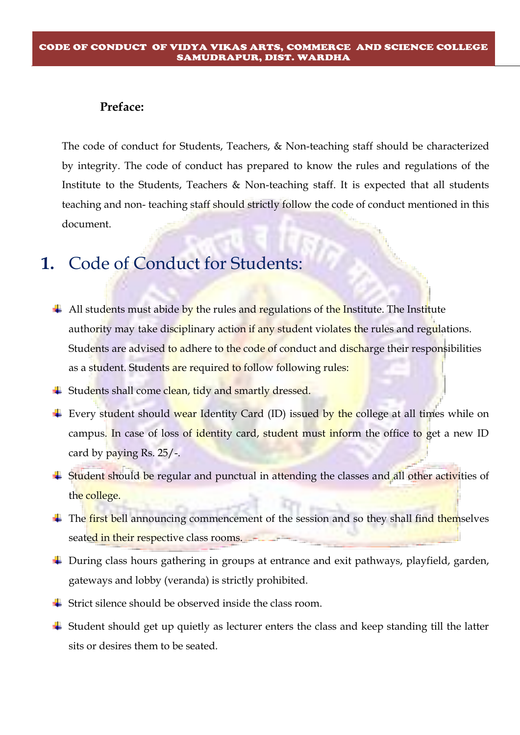### **Preface:**

The code of conduct for Students, Teachers, & Non-teaching staff should be characterized by integrity. The code of conduct has prepared to know the rules and regulations of the Institute to the Students, Teachers & Non-teaching staff. It is expected that all students teaching and non- teaching staff should strictly follow the code of conduct mentioned in this document.

## **1.** Code of Conduct for Students:

- $\overline{\phantom{a}+}$  All students must abide by the rules and regulations of the Institute. The Institute authority may take disciplinary action if any student violates the rules and regulations. Students are advised to adhere to the code of conduct and discharge their responsibilities as a student. Students are required to follow following rules:
- $\div$  Students shall come clean, tidy and smartly dressed.
- Every student should wear Identity Card (ID) issued by the college at all times while on campus. In case of loss of identity card, student must inform the office to get a new ID card by paying Rs. 25/-.
- <sup>+</sup> Student should be regular and punctual in attending the classes and all other activities of the college.
- $\pm$  The first bell announcing commencement of the session and so they shall find themselves seated in their respective class rooms.
- During class hours gathering in groups at entrance and exit pathways, playfield, garden, gateways and lobby (veranda) is strictly prohibited.
- $\overline{\phantom{a}}$  Strict silence should be observed inside the class room.
- $\overline{\phantom{a}}$  Student should get up quietly as lecturer enters the class and keep standing till the latter sits or desires them to be seated.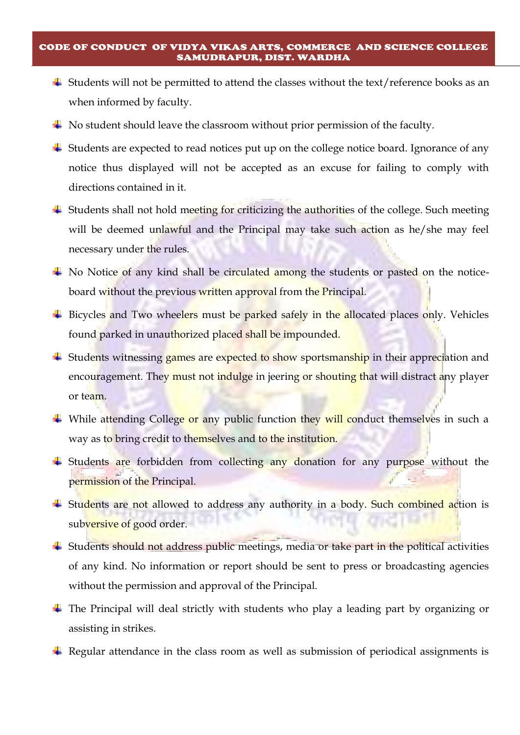- $\ddot{\bullet}$  Students will not be permitted to attend the classes without the text/reference books as an when informed by faculty.
- $\overline{\phantom{a}}$  No student should leave the classroom without prior permission of the faculty.
- $\overline{\phantom{a}}$  Students are expected to read notices put up on the college notice board. Ignorance of any notice thus displayed will not be accepted as an excuse for failing to comply with directions contained in it.
- $\overline{\phantom{a}}$  Students shall not hold meeting for criticizing the authorities of the college. Such meeting will be deemed unlawful and the Principal may take such action as he/she may feel necessary under the rules.
- $\overline{\phantom{a}}$  No Notice of any kind shall be circulated among the students or pasted on the noticeboard without the previous written approval from the Principal.
- $\overline{\phantom{a}}$  Bicycles and Two wheelers must be parked safely in the allocated places only. Vehicles found parked in unauthorized placed shall be impounded.
- <sup>+</sup> Students witnessing games are expected to show sportsmanship in their appreciation and encouragement. They must not indulge in jeering or shouting that will distract any player or team.
- While attending College or any public function they will conduct themselves in such a way as to bring credit to themselves and to the institution.
- **Example 15 Students are forbidden from collecting any donation for any purpose without the** permission of the Principal.
- **Example 1** Students are not allowed to address any authority in a body. Such combined action is subversive of good order.
- Students should not address public meetings, media or take part in the political activities of any kind. No information or report should be sent to press or broadcasting agencies without the permission and approval of the Principal.
- $\ddot{\phantom{1}}$  The Principal will deal strictly with students who play a leading part by organizing or assisting in strikes.
- Regular attendance in the class room as well as submission of periodical assignments is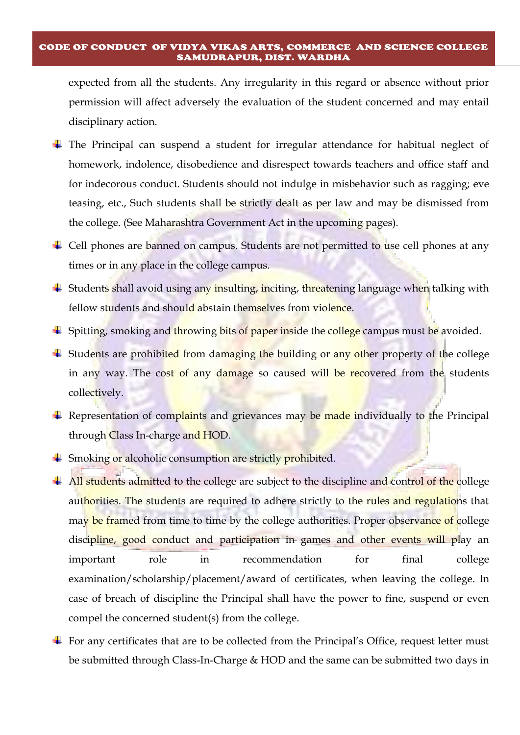expected from all the students. Any irregularity in this regard or absence without prior permission will affect adversely the evaluation of the student concerned and may entail disciplinary action.

- The Principal can suspend a student for irregular attendance for habitual neglect of homework, indolence, disobedience and disrespect towards teachers and office staff and for indecorous conduct. Students should not indulge in misbehavior such as ragging; eve teasing, etc., Such students shall be strictly dealt as per law and may be dismissed from the college. (See Maharashtra Government Act in the upcoming pages).
- $\overline{\phantom{a}}$  Cell phones are banned on campus. Students are not permitted to use cell phones at any times or in any place in the college campus.
- $\triangleq$  Students shall avoid using any insulting, inciting, threatening language when talking with fellow students and should abstain themselves from violence.
- $\frac{1}{\sqrt{2}}$  Spitting, smoking and throwing bits of paper inside the college campus must be avoided.
- $\pm$  Students are prohibited from damaging the building or any other property of the college in any way. The cost of any damage so caused will be recovered from the students collectively.
- Representation of complaints and grievances may be made individually to the Principal through Class In-charge and HOD.
- **Smoking or alcoholic consumption are strictly prohibited.**
- $\overline{\phantom{a}+}$  All students admitted to the college are subject to the discipline and control of the college authorities. The students are required to adhere strictly to the rules and regulations that may be framed from time to time by the college authorities. Proper observance of college discipline, good conduct and participation in games and other events will play an important role in recommendation for final college examination/scholarship/placement/award of certificates, when leaving the college. In case of breach of discipline the Principal shall have the power to fine, suspend or even compel the concerned student(s) from the college.
- $\pm$  For any certificates that are to be collected from the Principal's Office, request letter must be submitted through Class-In-Charge & HOD and the same can be submitted two days in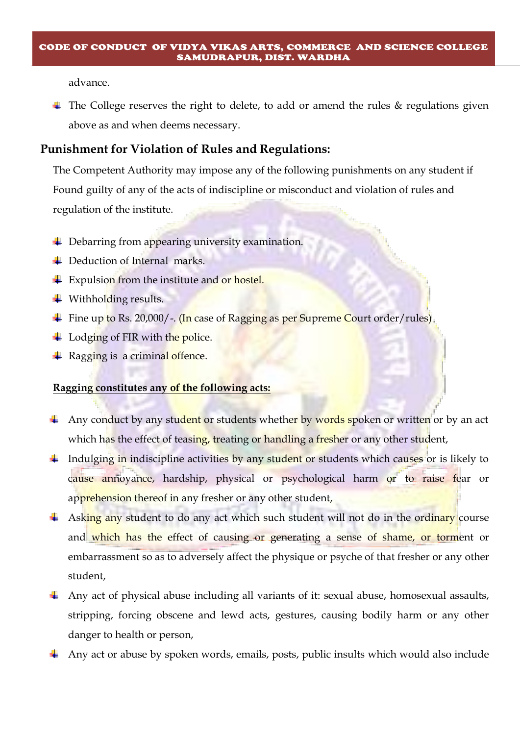advance.

 $\ddot{\phantom{1}}$  The College reserves the right to delete, to add or amend the rules & regulations given above as and when deems necessary.

### **Punishment for Violation of Rules and Regulations:**

 The Competent Authority may impose any of the following punishments on any student if Found guilty of any of the acts of indiscipline or misconduct and violation of rules and regulation of the institute.

- **↓** Debarring from appearing university examination.
- **↓** Deduction of Internal marks.
- $\div$  Expulsion from the institute and or hostel.
- $\ddot{\bullet}$  Withholding results.
- $\div$  Fine up to Rs. 20,000/-. (In case of Ragging as per Supreme Court order/rules)
- $\pm$  Lodging of FIR with the police.
- Ragging is a criminal offence.

### **Ragging constitutes any of the following acts:**

- Any conduct by any student or students whether by words spoken or written or by an act which has the effect of teasing, treating or handling a fresher or any other student,
- $\ddot{\phantom{1}}$  Indulging in indiscipline activities by any student or students which causes or is likely to cause annoyance, hardship, physical or psychological harm or to raise fear or apprehension thereof in any fresher or any other student,
- $\frac{1}{2}$  Asking any student to do any act which such student will not do in the ordinary course and which has the effect of causing or generating a sense of shame, or torment or embarrassment so as to adversely affect the physique or psyche of that fresher or any other student,
- Any act of physical abuse including all variants of it: sexual abuse, homosexual assaults, stripping, forcing obscene and lewd acts, gestures, causing bodily harm or any other danger to health or person,
- Any act or abuse by spoken words, emails, posts, public insults which would also include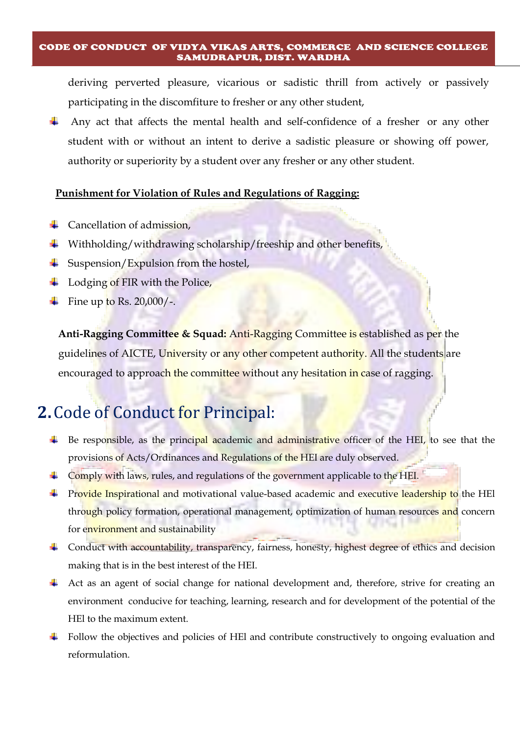deriving perverted pleasure, vicarious or sadistic thrill from actively or passively participating in the discomfiture to fresher or any other student,

Any act that affects the mental health and self-confidence of a fresher or any other student with or without an intent to derive a sadistic pleasure or showing off power, authority or superiority by a student over any fresher or any other student.

### **Punishment for Violation of Rules and Regulations of Ragging:**

- $\leftarrow$  Cancellation of admission,
- $\ddot{\phantom{1}}$  Withholding/withdrawing scholarship/freeship and other benefits,
- $\frac{1}{\sqrt{2}}$  Suspension/Expulsion from the hostel,
- $\overline{\phantom{a}}$  Lodging of FIR with the Police,
- Fine up to Rs.  $20,000/$ -.

 **Anti-Ragging Committee & Squad:** Anti-Ragging Committee is established as per the guidelines of AICTE, University or any other competent authority. All the students are encouraged to approach the committee without any hesitation in case of ragging.

## **2.**Code of Conduct for Principal:

- Be responsible, as the principal academic and administrative officer of the HEI, to see that the ₩. provisions of Acts/Ordinances and Regulations of the HEI are duly observed.
- $\overline{\phantom{a}}$  Comply with laws, rules, and regulations of the government applicable to the HEI.
- **Provide Inspirational and motivational value-based academic and executive leadership to the HEI** through policy formation, operational management, optimization of human resources and concern for environment and sustainability
- 4 Conduct with accountability, transparency, fairness, honesty, highest degree of ethics and decision making that is in the best interest of the HEI.
- Act as an agent of social change for national development and, therefore, strive for creating an environment conducive for teaching, learning, research and for development of the potential of the HEl to the maximum extent.
- Follow the objectives and policies of HEI and contribute constructively to ongoing evaluation and reformulation.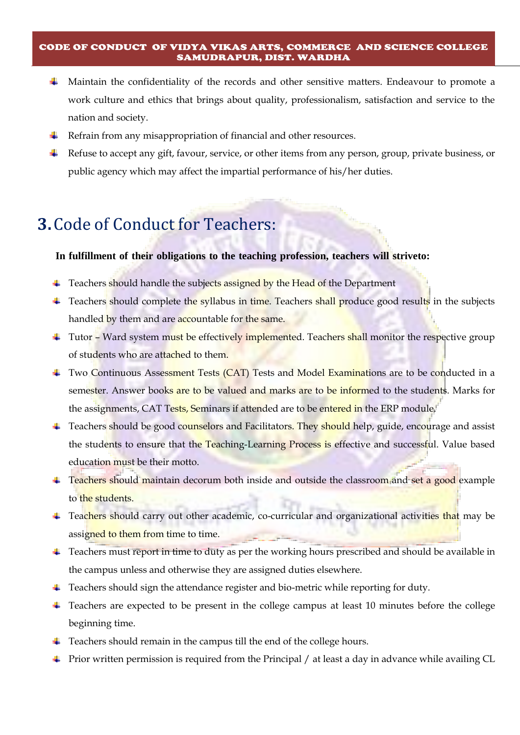- **.** Maintain the confidentiality of the records and other sensitive matters. Endeavour to promote a work culture and ethics that brings about quality, professionalism, satisfaction and service to the nation and society.
- **K** Refrain from any misappropriation of financial and other resources.
- Refuse to accept any gift, favour, service, or other items from any person, group, private business, or ₩., public agency which may affect the impartial performance of his/her duties.

## **3.**Code of Conduct for Teachers:

### **In fulfillment of their obligations to the teaching profession, teachers will striveto:**

- $\ddot{\bullet}$  Teachers should handle the subjects assigned by the Head of the Department
- Teachers should complete the syllabus in time. Teachers shall produce good results in the subjects ÷ handled by them and are accountable for the same.
- $\ddot{\phantom{1}}$  Tutor Ward system must be effectively implemented. Teachers shall monitor the respective group of students who are attached to them.
- Two Continuous Assessment Tests (CAT) Tests and Model Examinations are to be conducted in a semester. Answer books are to be valued and marks are to be informed to the students. Marks for the assignments, CAT Tests, Seminars if attended are to be entered in the ERP module.
- Feachers should be good counselors and Facilitators. They should help, guide, encourage and assist the students to ensure that the Teaching-Learning Process is effective and successful. Value based education must be their motto.
- Feachers should maintain decorum both inside and outside the classroom and set a good example to the students.
- Feachers should carry out other academic, co-curricular and organizational activities that may be assigned to them from time to time.
- Feachers must report in time to duty as per the working hours prescribed and should be available in the campus unless and otherwise they are assigned duties elsewhere.
- Teachers should sign the attendance register and bio-metric while reporting for duty.
- Teachers are expected to be present in the college campus at least 10 minutes before the college beginning time.
- $\ddot{\bullet}$  Teachers should remain in the campus till the end of the college hours.
- Prior written permission is required from the Principal / at least a day in advance while availing CL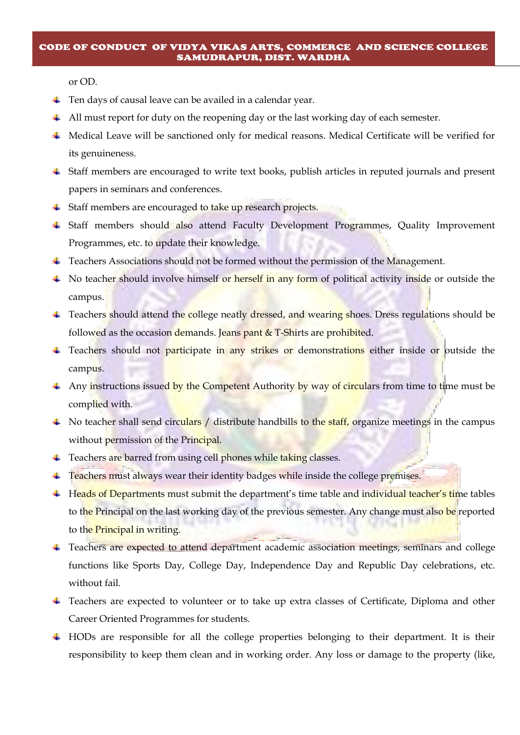or OD.

- $\overline{\phantom{a}}$  Ten days of causal leave can be availed in a calendar year.
- All must report for duty on the reopening day or the last working day of each semester.
- Medical Leave will be sanctioned only for medical reasons. Medical Certificate will be verified for its genuineness.
- Staff members are encouraged to write text books, publish articles in reputed journals and present papers in seminars and conferences.
- <sup>+</sup> Staff members are encouraged to take up research projects.
- Staff members should also attend Faculty Development Programmes, Quality Improvement Programmes, etc. to update their knowledge.
- Feachers Associations should not be formed without the permission of the Management.
- $\perp$  No teacher should involve himself or herself in any form of political activity inside or outside the campus.
- Feachers should attend the college neatly dressed, and wearing shoes. Dress regulations should be followed as the occasion demands. Jeans pant  $&$  T-Shirts are prohibited.
- Feachers should not participate in any strikes or demonstrations either inside or outside the campus.
- $\pm$  Any instructions issued by the Competent Authority by way of circulars from time to time must be complied with.
- $\textcolor{red}{\textbf{4}}$  No teacher shall send circulars / distribute handbills to the staff, organize meetings in the campus without permission of the Principal.
- $\ddot{+}$  Teachers are barred from using cell phones while taking classes.
- $\ddot{\phantom{1}}$  Teachers must always wear their identity badges while inside the college premises.
- Heads of Departments must submit the department's time table and individual teacher's time tables to the Principal on the last working day of the previous semester. Any change must also be reported to the **Principal in writing**.
- <sup>4</sup> Teachers are expected to attend department academic association meetings, seminars and college functions like Sports Day, College Day, Independence Day and Republic Day celebrations, etc. without fail.
- Teachers are expected to volunteer or to take up extra classes of Certificate, Diploma and other Career Oriented Programmes for students.
- HODs are responsible for all the college properties belonging to their department. It is their responsibility to keep them clean and in working order. Any loss or damage to the property (like,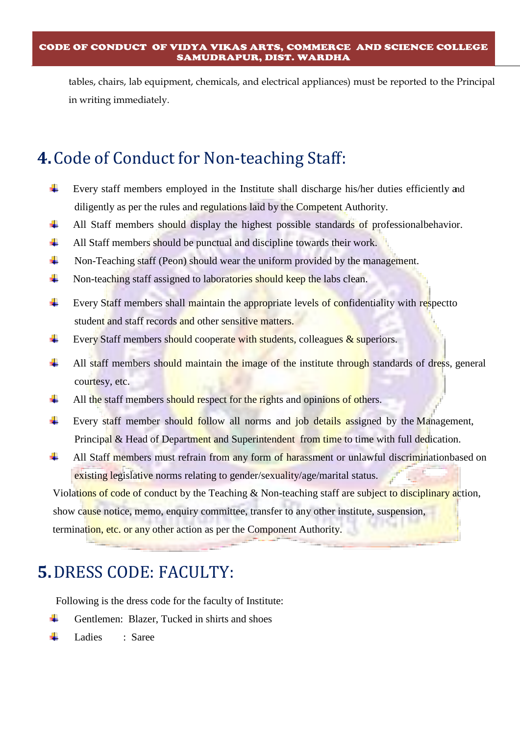tables, chairs, lab equipment, chemicals, and electrical appliances) must be reported to the Principal in writing immediately.

## **4.**Code of Conduct for Non-teaching Staff:

- ۰. Every staff members employed in the Institute shall discharge his/her duties efficiently and diligently as per the rules and regulations laid by the Competent Authority.
- ÷ All Staff members should display the highest possible standards of professionalbehavior.
- $\ddot{}$ All Staff members should be punctual and discipline towards their work.
- 4 Non-Teaching staff (Peon) should wear the uniform provided by the management.
- ۰. Non-teaching staff assigned to laboratories should keep the labs clean.
- ÷ Every Staff members shall maintain the appropriate levels of confidentiality with respectto student and staff records and other sensitive matters.
- ÷ Every Staff members should cooperate with students, colleagues & superiors.
- a. All staff members should maintain the image of the institute through standards of dress, general courtesy, etc.
- ۰. All the staff members should respect for the rights and opinions of others.
- a. Every staff member should follow all norms and job details assigned by the Management, Principal & Head of Department and Superintendent from time to time with full dedication.
- ÷ All Staff members must refrain from any form of harassment or unlawful discriminationbased on existing legislative norms relating to gender/sexuality/age/marital status.

Violations of code of conduct by the Teaching & Non-teaching staff are subject to disciplinary action, show cause notice, memo, enquiry committee, transfer to any other institute, suspension, termination, etc. or any other action as per the Component Authority.

## **5.**DRESS CODE: FACULTY:

Following is the dress code for the faculty of Institute:

- ÷. Gentlemen: Blazer, Tucked in shirts and shoes
- ÷. Ladies : Saree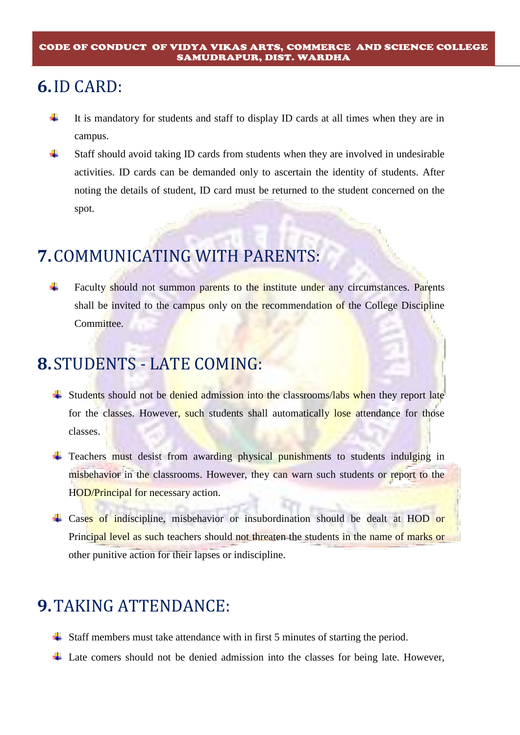## **6.**ID CARD:

- ÷ It is mandatory for students and staff to display ID cards at all times when they are in campus.
- 4 Staff should avoid taking ID cards from students when they are involved in undesirable activities. ID cards can be demanded only to ascertain the identity of students. After noting the details of student, ID card must be returned to the student concerned on the spot.

# **7.**COMMUNICATING WITH PARENTS:

÷ Faculty should not summon parents to the institute under any circumstances. Parents shall be invited to the campus only on the recommendation of the College Discipline Committee.

## **8.**STUDENTS - LATE COMING:

- $\ddot{\text{+}}$  Students should not be denied admission into the classrooms/labs when they report late for the classes. However, such students shall automatically lose attendance for those classes.
- **Teachers must desist from awarding physical punishments to students indulging in** misbehavior in the classrooms. However, they can warn such students or report to the HOD/Principal for necessary action.
- + Cases of indiscipline, misbehavior or insubordination should be dealt at HOD or Principal level as such teachers should not threaten the students in the name of marks or other punitive action for their lapses or indiscipline.

## **9.**TAKING ATTENDANCE:

- Staff members must take attendance with in first 5 minutes of starting the period.
- $\overline{\phantom{a}}$  Late comers should not be denied admission into the classes for being late. However,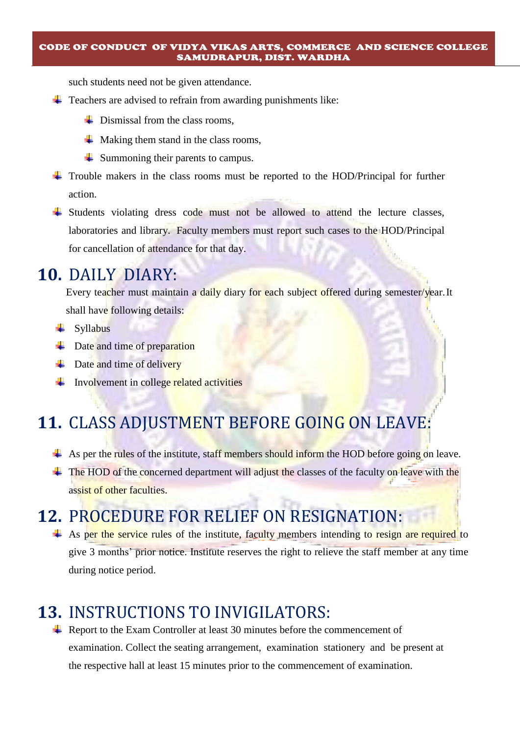such students need not be given attendance.

- $\ddot{\phantom{1}}$  Teachers are advised to refrain from awarding punishments like:
	- $\overline{\phantom{a}}$  Dismissal from the class rooms.
	- $\downarrow$  Making them stand in the class rooms,
	- $\downarrow$  Summoning their parents to campus.
- Trouble makers in the class rooms must be reported to the HOD/Principal for further action.
- <sup> $\pm$ </sup> Students violating dress code must not be allowed to attend the lecture classes, laboratories and library. Faculty members must report such cases to the HOD/Principal for cancellation of attendance for that day.

## **10.** DAILY DIARY:

Every teacher must maintain a daily diary for each subject offered during semester/year. It shall have following details:

- $\leftarrow$  Syllabus
- $\downarrow$  Date and time of preparation
- $\downarrow$  Date and time of delivery
- $\frac{1}{\sqrt{1-\frac{1}{\sqrt{1-\frac{1}{\sqrt{1-\frac{1}{\sqrt{1-\frac{1}{\sqrt{1-\frac{1}{\sqrt{1-\frac{1}{\sqrt{1-\frac{1}{\sqrt{1-\frac{1}{\sqrt{1-\frac{1}{\sqrt{1-\frac{1}{\sqrt{1-\frac{1}{\sqrt{1-\frac{1}{\sqrt{1-\frac{1}{\sqrt{1-\frac{1}{\sqrt{1-\frac{1}{\sqrt{1-\frac{1}{\sqrt{1-\frac{1}{\sqrt{1-\frac{1}{\sqrt{1-\frac{1}{\sqrt{1-\frac{1}{\sqrt{1-\frac{1}{\sqrt{1-\frac{1}{\sqrt{1-\frac{1}{\sqrt{1-\frac{1$

## **11.** CLASS ADJUSTMENT BEFORE GOING ON LEAVE:

- $\overline{+}$  As per the rules of the institute, staff members should inform the HOD before going on leave.
- $\pm$  The HOD of the concerned department will adjust the classes of the faculty on leave with the assist of other faculties.

## **12.** PROCEDURE FOR RELIEF ON RESIGNATION:

 $\overline{+}$  As per the service rules of the institute, faculty members intending to resign are required to give 3 months' prior notice. Institute reserves the right to relieve the staff member at any time during notice period.

## **13.** INSTRUCTIONS TO INVIGILATORS:

 $\overline{\phantom{a} \overline{\phantom{a}}}$  Report to the Exam Controller at least 30 minutes before the commencement of examination. Collect the seating arrangement, examination stationery and be present at the respective hall at least 15 minutes prior to the commencement of examination.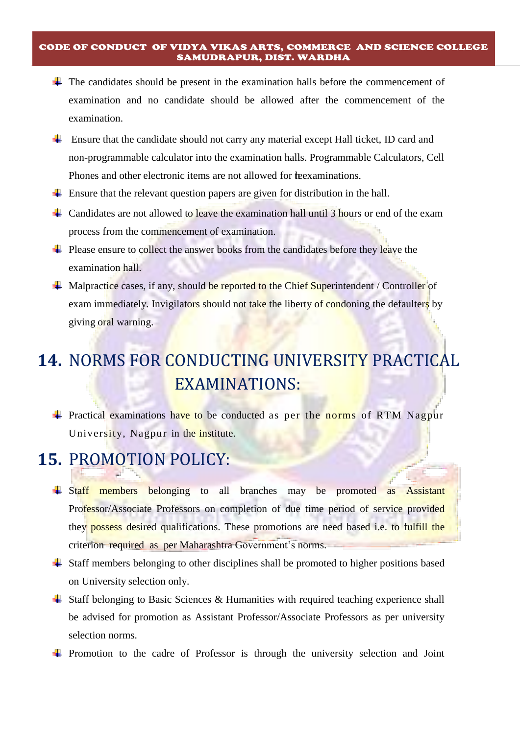- $\overline{\phantom{a}}$  The candidates should be present in the examination halls before the commencement of examination and no candidate should be allowed after the commencement of the examination.
- Ensure that the candidate should not carry any material except Hall ticket, ID card and non-programmable calculator into the examination halls. Programmable Calculators, Cell Phones and other electronic items are not allowed for the examinations.
- $\overline{\phantom{a}}$  Ensure that the relevant question papers are given for distribution in the hall.
- Candidates are not allowed to leave the examination hall until 3 hours or end of the exam process from the commencement of examination.
- $\overline{\phantom{a}}$  Please ensure to collect the answer books from the candidates before they leave the examination hall.
- $\overline{\phantom{a}}$  Malpractice cases, if any, should be reported to the Chief Superintendent / Controller of exam immediately. Invigilators should not take the liberty of condoning the defaulters by giving oral warning.

# **14.** NORMS FOR CONDUCTING UNIVERSITY PRACTICAL EXAMINATIONS:

 $\div$  Practical examinations have to be conducted as per the norms of RTM Nagpur University, Nagpur in the institute.

## **15.** PROMOTION POLICY:

- **Example 1** Staff members belonging to all branches may be promoted as Assistant Professor/Associate Professors on completion of due time period of service provided they **possess** desired qualifications. These promotions are need based i.e. to fulfill the criterion required as per Maharashtra Government's norms.
- Staff members belonging to other disciplines shall be promoted to higher positions based on University selection only.
- $\overline{\phantom{a}}$  Staff belonging to Basic Sciences & Humanities with required teaching experience shall be advised for promotion as Assistant Professor/Associate Professors as per university selection norms.
- $\overline{\phantom{a}}$  Promotion to the cadre of Professor is through the university selection and Joint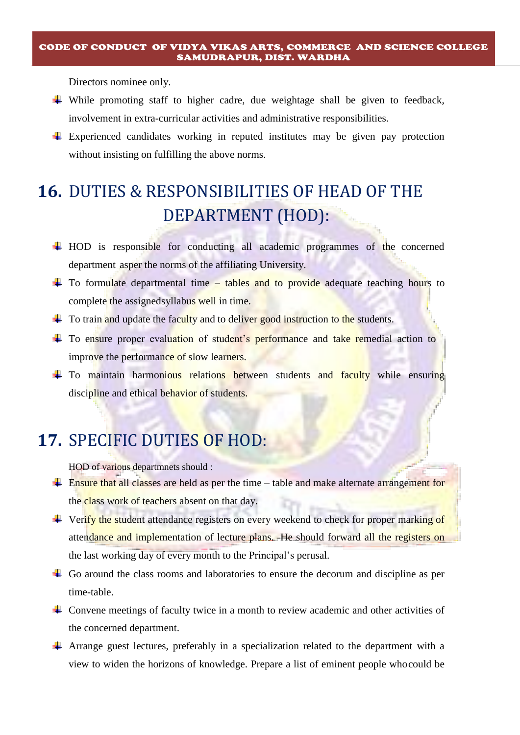Directors nominee only.

- While promoting staff to higher cadre, due weightage shall be given to feedback, involvement in extra-curricular activities and administrative responsibilities.
- Experienced candidates working in reputed institutes may be given pay protection without insisting on fulfilling the above norms.

# **16.** DUTIES & RESPONSIBILITIES OF HEAD OF THE DEPARTMENT (HOD):

- $\overline{\text{HOD}}$  is responsible for conducting all academic programmes of the concerned department asper the norms of the affiliating University.
- $\pm$  To formulate departmental time tables and to provide adequate teaching hours to complete the assignedsyllabus well in time.
- $\pm$  To train and update the faculty and to deliver good instruction to the students.
- <sup>+</sup> To ensure proper evaluation of student's performance and take remedial action to improve the performance of slow learners.
- <sup>+</sup> To maintain harmonious relations between students and faculty while ensuring discipline and ethical behavior of students.

## **17.** SPECIFIC DUTIES OF HOD:

HOD of various departmnets should :

- $\frac{1}{\sqrt{1-\frac{1}{\sqrt{1-\frac{1}{\sqrt{1-\frac{1}{\sqrt{1-\frac{1}{\sqrt{1-\frac{1}{\sqrt{1-\frac{1}{\sqrt{1-\frac{1}{\sqrt{1-\frac{1}{\sqrt{1-\frac{1}{\sqrt{1-\frac{1}{\sqrt{1-\frac{1}{\sqrt{1-\frac{1}{\sqrt{1-\frac{1}{\sqrt{1-\frac{1}{\sqrt{1-\frac{1}{\sqrt{1-\frac{1}{\sqrt{1-\frac{1}{\sqrt{1-\frac{1}{\sqrt{1-\frac{1}{\sqrt{1-\frac{1}{\sqrt{1-\frac{1}{\sqrt{1-\frac{1}{\sqrt{1-\frac{1}{\sqrt{1-\frac{1$ the class work of teachers absent on that day.
- $\overline{\text{4}}$  Verify the student attendance registers on every weekend to check for proper marking of attendance and implementation of lecture plans. He should forward all the registers on the last working day of every month to the Principal's perusal.
- $\overline{\phantom{a}}$  Go around the class rooms and laboratories to ensure the decorum and discipline as per time-table.
- $\overline{\phantom{a}}$  Convene meetings of faculty twice in a month to review academic and other activities of the concerned department.
- Arrange guest lectures, preferably in a specialization related to the department with a view to widen the horizons of knowledge. Prepare a list of eminent people whocould be